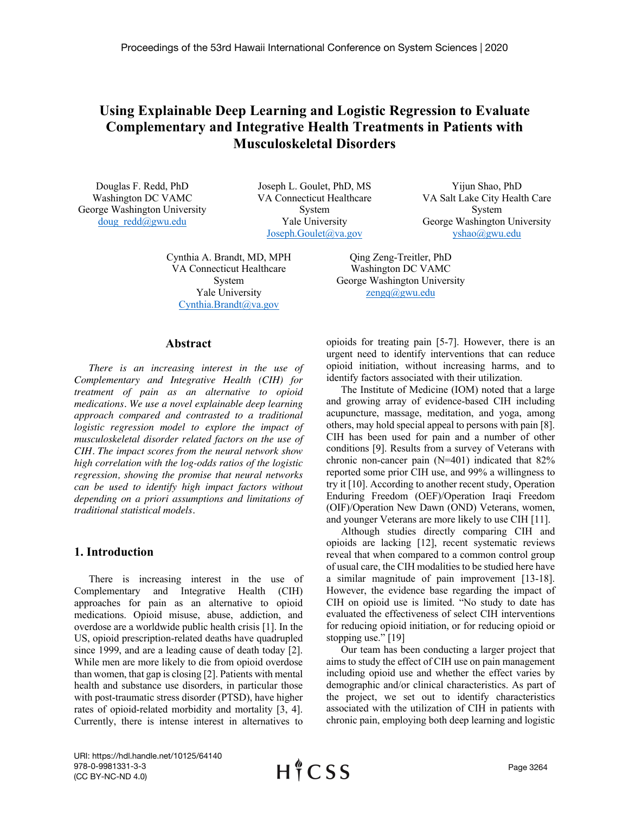# **Using Explainable Deep Learning and Logistic Regression to Evaluate Complementary and Integrative Health Treatments in Patients with Musculoskeletal Disorders**

Douglas F. Redd, PhD Washington DC VAMC George Washington University doug\_redd@gwu.edu

Joseph L. Goulet, PhD, MS VA Connecticut Healthcare System Yale University Joseph.Goulet@va.gov

Cynthia A. Brandt, MD, MPH VA Connecticut Healthcare System Yale University Cynthia.Brandt@va.gov

Yijun Shao, PhD VA Salt Lake City Health Care System George Washington University yshao@gwu.edu

Qing Zeng-Treitler, PhD Washington DC VAMC George Washington University zengq@gwu.edu

#### **Abstract**

*There is an increasing interest in the use of Complementary and Integrative Health (CIH) for treatment of pain as an alternative to opioid medications. We use a novel explainable deep learning approach compared and contrasted to a traditional logistic regression model to explore the impact of musculoskeletal disorder related factors on the use of CIH. The impact scores from the neural network show high correlation with the log-odds ratios of the logistic regression, showing the promise that neural networks can be used to identify high impact factors without depending on a priori assumptions and limitations of traditional statistical models.*

## **1. Introduction**

There is increasing interest in the use of Complementary and Integrative Health (CIH) approaches for pain as an alternative to opioid medications. Opioid misuse, abuse, addiction, and overdose are a worldwide public health crisis [1]. In the US, opioid prescription-related deaths have quadrupled since 1999, and are a leading cause of death today [2]. While men are more likely to die from opioid overdose than women, that gap is closing [2]. Patients with mental health and substance use disorders, in particular those with post-traumatic stress disorder (PTSD), have higher rates of opioid-related morbidity and mortality [3, 4]. Currently, there is intense interest in alternatives to

opioids for treating pain [5-7]. However, there is an urgent need to identify interventions that can reduce opioid initiation, without increasing harms, and to identify factors associated with their utilization.

The Institute of Medicine (IOM) noted that a large and growing array of evidence-based CIH including acupuncture, massage, meditation, and yoga, among others, may hold special appeal to persons with pain [8]. CIH has been used for pain and a number of other conditions [9]. Results from a survey of Veterans with chronic non-cancer pain (N=401) indicated that 82% reported some prior CIH use, and 99% a willingness to try it [10]. According to another recent study, Operation Enduring Freedom (OEF)/Operation Iraqi Freedom (OIF)/Operation New Dawn (OND) Veterans, women, and younger Veterans are more likely to use CIH [11].

Although studies directly comparing CIH and opioids are lacking [12], recent systematic reviews reveal that when compared to a common control group of usual care, the CIH modalities to be studied here have a similar magnitude of pain improvement [13-18]. However, the evidence base regarding the impact of CIH on opioid use is limited. "No study to date has evaluated the effectiveness of select CIH interventions for reducing opioid initiation, or for reducing opioid or stopping use." [19]

Our team has been conducting a larger project that aims to study the effect of CIH use on pain management including opioid use and whether the effect varies by demographic and/or clinical characteristics. As part of the project, we set out to identify characteristics associated with the utilization of CIH in patients with chronic pain, employing both deep learning and logistic

URI: https://hdl.handle.net/10125/64140 978-0-9981331-3-3 (CC BY-NC-ND 4.0)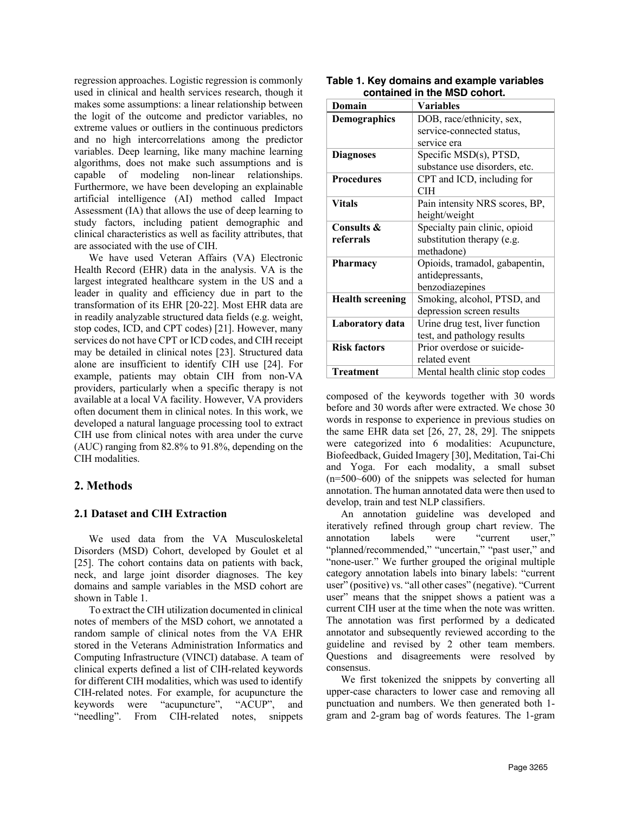regression approaches. Logistic regression is commonly used in clinical and health services research, though it makes some assumptions: a linear relationship between the logit of the outcome and predictor variables, no extreme values or outliers in the continuous predictors and no high intercorrelations among the predictor variables. Deep learning, like many machine learning algorithms, does not make such assumptions and is capable of modeling non-linear relationships. Furthermore, we have been developing an explainable artificial intelligence (AI) method called Impact Assessment (IA) that allows the use of deep learning to study factors, including patient demographic and clinical characteristics as well as facility attributes, that are associated with the use of CIH.

We have used Veteran Affairs (VA) Electronic Health Record (EHR) data in the analysis. VA is the largest integrated healthcare system in the US and a leader in quality and efficiency due in part to the transformation of its EHR [20-22]. Most EHR data are in readily analyzable structured data fields (e.g. weight, stop codes, ICD, and CPT codes) [21]. However, many services do not have CPT or ICD codes, and CIH receipt may be detailed in clinical notes [23]. Structured data alone are insufficient to identify CIH use [24]. For example, patients may obtain CIH from non-VA providers, particularly when a specific therapy is not available at a local VA facility. However, VA providers often document them in clinical notes. In this work, we developed a natural language processing tool to extract CIH use from clinical notes with area under the curve (AUC) ranging from 82.8% to 91.8%, depending on the CIH modalities.

## **2. Methods**

#### **2.1 Dataset and CIH Extraction**

We used data from the VA Musculoskeletal Disorders (MSD) Cohort, developed by Goulet et al [25]. The cohort contains data on patients with back, neck, and large joint disorder diagnoses. The key domains and sample variables in the MSD cohort are shown in Table 1.

To extract the CIH utilization documented in clinical notes of members of the MSD cohort, we annotated a random sample of clinical notes from the VA EHR stored in the Veterans Administration Informatics and Computing Infrastructure (VINCI) database. A team of clinical experts defined a list of CIH-related keywords for different CIH modalities, which was used to identify CIH-related notes. For example, for acupuncture the keywords were "acupuncture", "ACUP", and "needling". From CIH-related notes, snippets

| Domain                  | <b>Variables</b>                |  |  |
|-------------------------|---------------------------------|--|--|
| <b>Demographics</b>     | DOB, race/ethnicity, sex,       |  |  |
|                         | service-connected status,       |  |  |
|                         | service era                     |  |  |
| <b>Diagnoses</b>        | Specific MSD(s), PTSD,          |  |  |
|                         | substance use disorders, etc.   |  |  |
| <b>Procedures</b>       | CPT and ICD, including for      |  |  |
|                         | CIH                             |  |  |
| <b>Vitals</b>           | Pain intensity NRS scores, BP,  |  |  |
|                         | height/weight                   |  |  |
| Consults &              | Specialty pain clinic, opioid   |  |  |
| referrals               | substitution therapy (e.g.      |  |  |
|                         | methadone)                      |  |  |
| <b>Pharmacy</b>         | Opioids, tramadol, gabapentin,  |  |  |
|                         | antidepressants,                |  |  |
|                         | benzodiazepines                 |  |  |
| <b>Health screening</b> | Smoking, alcohol, PTSD, and     |  |  |
|                         | depression screen results       |  |  |
| Laboratory data         | Urine drug test, liver function |  |  |
|                         | test, and pathology results     |  |  |
| <b>Risk factors</b>     | Prior overdose or suicide-      |  |  |
|                         | related event                   |  |  |
| <b>Treatment</b>        | Mental health clinic stop codes |  |  |

| Table 1. Key domains and example variables |
|--------------------------------------------|
| contained in the MSD cohort.               |

composed of the keywords together with 30 words before and 30 words after were extracted. We chose 30 words in response to experience in previous studies on the same EHR data set [26, 27, 28, 29]. The snippets were categorized into 6 modalities: Acupuncture, Biofeedback, Guided Imagery [30], Meditation, Tai-Chi and Yoga. For each modality, a small subset (n=500~600) of the snippets was selected for human annotation. The human annotated data were then used to develop, train and test NLP classifiers.

An annotation guideline was developed and iteratively refined through group chart review. The annotation labels were "current user," "planned/recommended," "uncertain," "past user," and "none-user." We further grouped the original multiple category annotation labels into binary labels: "current user" (positive) vs. "all other cases" (negative). "Current user" means that the snippet shows a patient was a current CIH user at the time when the note was written. The annotation was first performed by a dedicated annotator and subsequently reviewed according to the guideline and revised by 2 other team members. Questions and disagreements were resolved by consensus.

We first tokenized the snippets by converting all upper-case characters to lower case and removing all punctuation and numbers. We then generated both 1 gram and 2-gram bag of words features. The 1-gram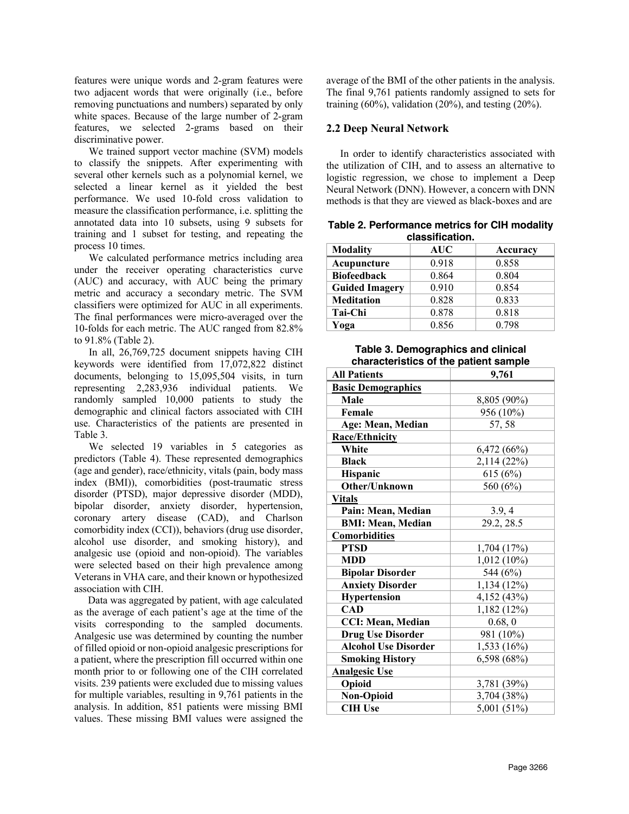features were unique words and 2-gram features were two adjacent words that were originally (i.e., before removing punctuations and numbers) separated by only white spaces. Because of the large number of 2-gram features, we selected 2-grams based on their discriminative power.

We trained support vector machine (SVM) models to classify the snippets. After experimenting with several other kernels such as a polynomial kernel, we selected a linear kernel as it yielded the best performance. We used 10-fold cross validation to measure the classification performance, i.e. splitting the annotated data into 10 subsets, using 9 subsets for training and 1 subset for testing, and repeating the process 10 times.

We calculated performance metrics including area under the receiver operating characteristics curve (AUC) and accuracy, with AUC being the primary metric and accuracy a secondary metric. The SVM classifiers were optimized for AUC in all experiments. The final performances were micro-averaged over the 10-folds for each metric. The AUC ranged from 82.8% to 91.8% (Table 2).

In all, 26,769,725 document snippets having CIH keywords were identified from 17,072,822 distinct documents, belonging to 15,095,504 visits, in turn representing 2,283,936 individual patients. We randomly sampled 10,000 patients to study the demographic and clinical factors associated with CIH use. Characteristics of the patients are presented in Table 3.

We selected 19 variables in 5 categories as predictors (Table 4). These represented demographics (age and gender), race/ethnicity, vitals (pain, body mass index (BMI)), comorbidities (post-traumatic stress disorder (PTSD), major depressive disorder (MDD), bipolar disorder, anxiety disorder, hypertension, coronary artery disease (CAD), and Charlson comorbidity index (CCI)), behaviors (drug use disorder, alcohol use disorder, and smoking history), and analgesic use (opioid and non-opioid). The variables were selected based on their high prevalence among Veterans in VHA care, and their known or hypothesized association with CIH.

Data was aggregated by patient, with age calculated as the average of each patient's age at the time of the visits corresponding to the sampled documents. Analgesic use was determined by counting the number of filled opioid or non-opioid analgesic prescriptions for a patient, where the prescription fill occurred within one month prior to or following one of the CIH correlated visits. 239 patients were excluded due to missing values for multiple variables, resulting in 9,761 patients in the analysis. In addition, 851 patients were missing BMI values. These missing BMI values were assigned the

average of the BMI of the other patients in the analysis. The final 9,761 patients randomly assigned to sets for training  $(60\%)$ , validation  $(20\%)$ , and testing  $(20\%)$ .

## **2.2 Deep Neural Network**

In order to identify characteristics associated with the utilization of CIH, and to assess an alternative to logistic regression, we chose to implement a Deep Neural Network (DNN). However, a concern with DNN methods is that they are viewed as black-boxes and are

**Table 2. Performance metrics for CIH modality classification.**

| <b>Modality</b>       | AUC   | Accuracy |  |  |  |
|-----------------------|-------|----------|--|--|--|
| Acupuncture           | 0.918 | 0.858    |  |  |  |
| <b>Biofeedback</b>    | 0.864 | 0.804    |  |  |  |
| <b>Guided Imagery</b> | 0.910 | 0.854    |  |  |  |
| <b>Meditation</b>     | 0.828 | 0.833    |  |  |  |
| Tai-Chi               | 0.878 | 0.818    |  |  |  |
| Yoga                  | 0.856 | 0.798    |  |  |  |

## **Table 3. Demographics and clinical characteristics of the patient sample**

| <b>All Patients</b>         | 9,761         |
|-----------------------------|---------------|
| <b>Basic Demographics</b>   |               |
| Male                        | 8,805 (90%)   |
| Female                      | 956 (10%)     |
| Age: Mean, Median           | 57, 58        |
| <b>Race/Ethnicity</b>       |               |
| White                       | 6,472 (66%)   |
| <b>Black</b>                | 2,114 (22%)   |
| Hispanic                    | 615 (6%)      |
| <b>Other/Unknown</b>        | 560 (6%)      |
| <b>Vitals</b>               |               |
| Pain: Mean, Median          | 3.9, 4        |
| <b>BMI: Mean, Median</b>    | 29.2, 28.5    |
| <b>Comorbidities</b>        |               |
| <b>PTSD</b>                 | 1,704 (17%)   |
| <b>MDD</b>                  | $1,012(10\%)$ |
| <b>Bipolar Disorder</b>     | 544 (6%)      |
| <b>Anxiety Disorder</b>     | 1,134 (12%)   |
| <b>Hypertension</b>         | 4,152 (43%)   |
| <b>CAD</b>                  | 1,182 (12%)   |
| <b>CCI: Mean, Median</b>    | 0.68, 0       |
| <b>Drug Use Disorder</b>    | 981 (10%)     |
| <b>Alcohol Use Disorder</b> | 1,533 (16%)   |
| <b>Smoking History</b>      | 6,598 (68%)   |
| <b>Analgesic Use</b>        |               |
| Opioid                      | 3,781 (39%)   |
| <b>Non-Opioid</b>           | 3,704 (38%)   |
| <b>CIH Use</b>              | 5,001 (51%)   |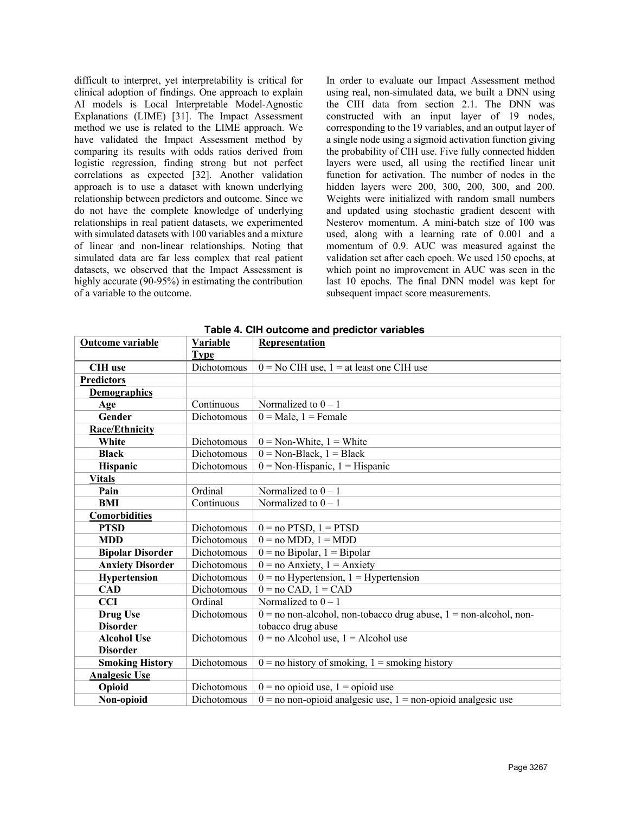difficult to interpret, yet interpretability is critical for clinical adoption of findings. One approach to explain AI models is Local Interpretable Model-Agnostic Explanations (LIME) [31]. The Impact Assessment method we use is related to the LIME approach. We have validated the Impact Assessment method by comparing its results with odds ratios derived from logistic regression, finding strong but not perfect correlations as expected [32]. Another validation approach is to use a dataset with known underlying relationship between predictors and outcome. Since we do not have the complete knowledge of underlying relationships in real patient datasets, we experimented with simulated datasets with 100 variables and a mixture of linear and non-linear relationships. Noting that simulated data are far less complex that real patient datasets, we observed that the Impact Assessment is highly accurate (90-95%) in estimating the contribution of a variable to the outcome.

In order to evaluate our Impact Assessment method using real, non-simulated data, we built a DNN using the CIH data from section 2.1. The DNN was constructed with an input layer of 19 nodes, corresponding to the 19 variables, and an output layer of a single node using a sigmoid activation function giving the probability of CIH use. Five fully connected hidden layers were used, all using the rectified linear unit function for activation. The number of nodes in the hidden layers were 200, 300, 200, 300, and 200. Weights were initialized with random small numbers and updated using stochastic gradient descent with Nesterov momentum. A mini-batch size of 100 was used, along with a learning rate of 0.001 and a momentum of 0.9. AUC was measured against the validation set after each epoch. We used 150 epochs, at which point no improvement in AUC was seen in the last 10 epochs. The final DNN model was kept for subsequent impact score measurements.

| Outcome variable        | Variable    | Representation                                                        |  |  |  |
|-------------------------|-------------|-----------------------------------------------------------------------|--|--|--|
|                         | <b>Type</b> |                                                                       |  |  |  |
| <b>CIH</b> use          | Dichotomous | $0 = No$ CIH use, $1 = at$ least one CIH use                          |  |  |  |
| <b>Predictors</b>       |             |                                                                       |  |  |  |
| <b>Demographics</b>     |             |                                                                       |  |  |  |
| Age                     | Continuous  | Normalized to $0 - 1$                                                 |  |  |  |
| Gender                  | Dichotomous | $0 =$ Male, $1 =$ Female                                              |  |  |  |
| <b>Race/Ethnicity</b>   |             |                                                                       |  |  |  |
| White                   | Dichotomous | $0 = \text{Non-White}, 1 = \text{White}$                              |  |  |  |
| <b>Black</b>            | Dichotomous | $0 = \text{Non-Black}, 1 = \text{Black}$                              |  |  |  |
| <b>Hispanic</b>         | Dichotomous | $0 = \text{Non-Hispanic}, 1 = \text{Hispanic}$                        |  |  |  |
| <b>Vitals</b>           |             |                                                                       |  |  |  |
| Pain                    | Ordinal     | Normalized to $0 - 1$                                                 |  |  |  |
| BMI                     | Continuous  | Normalized to $0 - 1$                                                 |  |  |  |
| <b>Comorbidities</b>    |             |                                                                       |  |  |  |
| <b>PTSD</b>             | Dichotomous | $0 = no$ PTSD, $1 = PTSD$                                             |  |  |  |
| <b>MDD</b>              | Dichotomous | $0 = no \text{ MDD}, 1 = \text{MDD}$                                  |  |  |  |
| <b>Bipolar Disorder</b> | Dichotomous | $0 = no Bipolar, 1 = Bipolar$                                         |  |  |  |
| <b>Anxiety Disorder</b> | Dichotomous | $0 = no$ Anxiety, $1 =$ Anxiety                                       |  |  |  |
| Hypertension            | Dichotomous | $0 = no$ Hypertension, $1 =$ Hypertension                             |  |  |  |
| <b>CAD</b>              | Dichotomous | $0 = no$ CAD, $1 = CAD$                                               |  |  |  |
| <b>CCI</b>              | Ordinal     | Normalized to $0 - 1$                                                 |  |  |  |
| Drug Use                | Dichotomous | $0 =$ no non-alcohol, non-tobacco drug abuse, $1 =$ non-alcohol, non- |  |  |  |
| <b>Disorder</b>         |             | tobacco drug abuse                                                    |  |  |  |
| <b>Alcohol Use</b>      | Dichotomous | $0 =$ no Alcohol use, $1 =$ Alcohol use                               |  |  |  |
| <b>Disorder</b>         |             |                                                                       |  |  |  |
| <b>Smoking History</b>  | Dichotomous | $0 =$ no history of smoking, $1 =$ smoking history                    |  |  |  |
| <b>Analgesic Use</b>    |             |                                                                       |  |  |  |
| Opioid                  | Dichotomous | $0 = no$ opioid use, $1 =$ opioid use                                 |  |  |  |
| Non-opioid              | Dichotomous | $0 =$ no non-opioid analgesic use, $1 =$ non-opioid analgesic use     |  |  |  |

**Table 4. CIH outcome and predictor variables**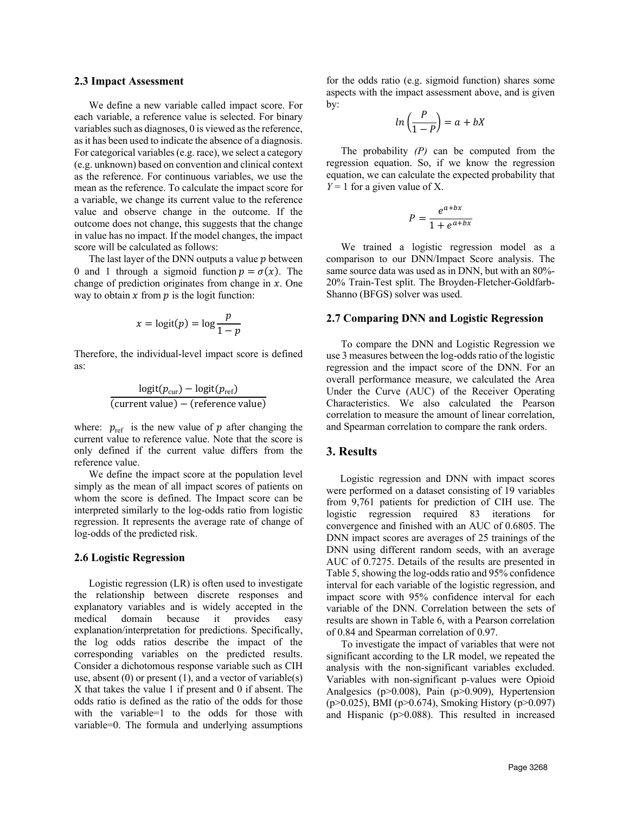#### **2.3 Impact Assessment**

We define a new variable called impact score. For each variable, a reference value is selected. For binary variables such as diagnoses, 0 is viewed as the reference, as it has been used to indicate the absence of a diagnosis. For categorical variables (e.g. race), we select a category (e.g. unknown) based on convention and clinical context as the reference. For continuous variables, we use the mean as the reference. To calculate the impact score for a variable, we change its current value to the reference value and observe change in the outcome. If the outcome does not change, this suggests that the change in value has no impact. If the model changes, the impact score will be calculated as follows:

The last layer of the DNN outputs a value  $p$  between 0 and 1 through a sigmoid function  $p = \sigma(x)$ . The change of prediction originates from change in  $x$ . One way to obtain  $x$  from  $p$  is the logit function:

$$
x = \text{logit}(p) = \log \frac{p}{1-p}
$$

Therefore, the individual-level impact score is defined as:

$$
\frac{\text{logit}(p_{\text{cur}}) - \text{logit}(p_{\text{ref}})}{(\text{current value}) - (\text{reference value})}
$$

where:  $p_{ref}$  is the new value of  $p$  after changing the current value to reference value. Note that the score is only defined if the current value differs from the reference value.

We define the impact score at the population level simply as the mean of all impact scores of patients on whom the score is defined. The Impact score can be interpreted similarly to the log-odds ratio from logistic regression. It represents the average rate of change of log-odds of the predicted risk.

#### **2.6 Logistic Regression**

Logistic regression (LR) is often used to investigate the relationship between discrete responses and explanatory variables and is widely accepted in the medical domain because it provides easy explanation/interpretation for predictions. Specifically, the log odds ratios describe the impact of the corresponding variables on the predicted results. Consider a dichotomous response variable such as CIH use, absent  $(0)$  or present  $(1)$ , and a vector of variable $(s)$ X that takes the value 1 if present and 0 if absent. The odds ratio is defined as the ratio of the odds for those with the variable=1 to the odds for those with variable=0. The formula and underlying assumptions

for the odds ratio (e.g. sigmoid function) shares some aspects with the impact assessment above, and is given by:

$$
ln\left(\frac{P}{1-P}\right) = a + bX
$$

The probability *(P)* can be computed from the regression equation. So, if we know the regression equation, we can calculate the expected probability that  $Y = 1$  for a given value of X.

$$
P = \frac{e^{a+bx}}{1+e^{a+bx}}
$$

We trained a logistic regression model as a comparison to our DNN/Impact Score analysis. The same source data was used as in DNN, but with an 80%- 20% Train-Test split. The Broyden-Fletcher-Goldfarb-Shanno (BFGS) solver was used.

#### **2.7 Comparing DNN and Logistic Regression**

To compare the DNN and Logistic Regression we use 3 measures between the log-odds ratio of the logistic regression and the impact score of the DNN. For an overall performance measure, we calculated the Area Under the Curve (AUC) of the Receiver Operating Characteristics. We also calculated the Pearson correlation to measure the amount of linear correlation, and Spearman correlation to compare the rank orders.

#### **3. Results**

Logistic regression and DNN with impact scores were performed on a dataset consisting of 19 variables from 9,761 patients for prediction of CIH use. The logistic regression required 83 iterations for convergence and finished with an AUC of 0.6805. The DNN impact scores are averages of 25 trainings of the DNN using different random seeds, with an average AUC of 0.7275. Details of the results are presented in Table 5, showing the log-odds ratio and 95% confidence interval for each variable of the logistic regression, and impact score with 95% confidence interval for each variable of the DNN. Correlation between the sets of results are shown in Table 6, with a Pearson correlation of 0.84 and Spearman correlation of 0.97.

To investigate the impact of variables that were not significant according to the LR model, we repeated the analysis with the non-significant variables excluded. Variables with non-significant p-values were Opioid Analgesics (p>0.008), Pain (p>0.909), Hypertension (p>0.025), BMI (p>0.674), Smoking History (p>0.097) and Hispanic (p>0.088). This resulted in increased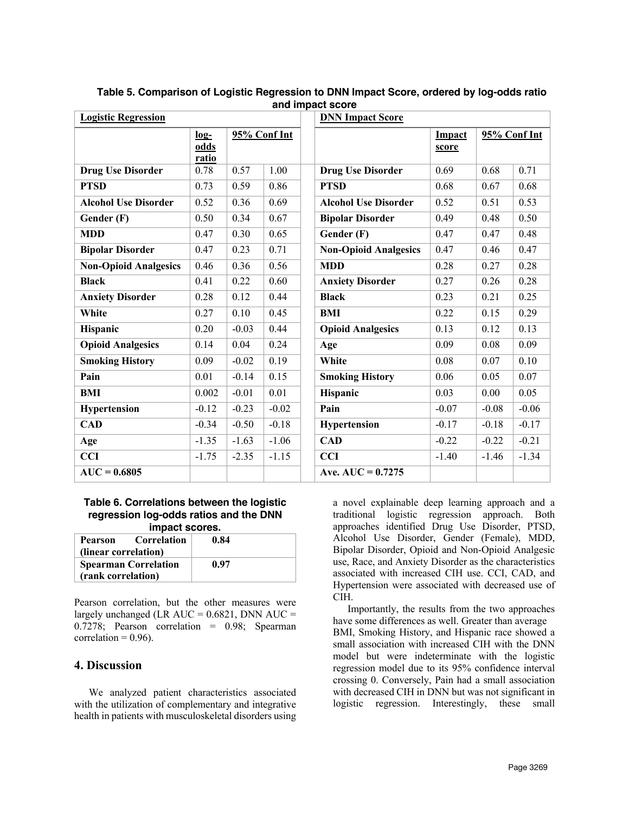| <b>Logistic Regression</b>   |                         |              |         | <b>DNN Impact Score</b>      |                 |              |         |
|------------------------------|-------------------------|--------------|---------|------------------------------|-----------------|--------------|---------|
|                              | $log-$<br>odds<br>ratio | 95% Conf Int |         |                              | Impact<br>score | 95% Conf Int |         |
| <b>Drug Use Disorder</b>     | 0.78                    | 0.57         | 1.00    | <b>Drug Use Disorder</b>     | 0.69            | 0.68         | 0.71    |
| <b>PTSD</b>                  | 0.73                    | 0.59         | 0.86    | <b>PTSD</b>                  | 0.68            | 0.67         | 0.68    |
| <b>Alcohol Use Disorder</b>  | 0.52                    | 0.36         | 0.69    | <b>Alcohol Use Disorder</b>  | 0.52            | 0.51         | 0.53    |
| Gender (F)                   | 0.50                    | 0.34         | 0.67    | <b>Bipolar Disorder</b>      | 0.49            | 0.48         | 0.50    |
| <b>MDD</b>                   | 0.47                    | 0.30         | 0.65    | Gender (F)                   | 0.47            | 0.47         | 0.48    |
| <b>Bipolar Disorder</b>      | 0.47                    | 0.23         | 0.71    | <b>Non-Opioid Analgesics</b> | 0.47            | 0.46         | 0.47    |
| <b>Non-Opioid Analgesics</b> | 0.46                    | 0.36         | 0.56    | <b>MDD</b>                   | 0.28            | 0.27         | 0.28    |
| <b>Black</b>                 | 0.41                    | 0.22         | 0.60    | <b>Anxiety Disorder</b>      | 0.27            | 0.26         | 0.28    |
| <b>Anxiety Disorder</b>      | 0.28                    | 0.12         | 0.44    | <b>Black</b>                 | 0.23            | 0.21         | 0.25    |
| White                        | 0.27                    | 0.10         | 0.45    | <b>BMI</b>                   | 0.22            | 0.15         | 0.29    |
| Hispanic                     | 0.20                    | $-0.03$      | 0.44    | <b>Opioid Analgesics</b>     | 0.13            | 0.12         | 0.13    |
| <b>Opioid Analgesics</b>     | 0.14                    | 0.04         | 0.24    | Age                          | 0.09            | 0.08         | 0.09    |
| <b>Smoking History</b>       | 0.09                    | $-0.02$      | 0.19    | White                        | 0.08            | 0.07         | 0.10    |
| Pain                         | 0.01                    | $-0.14$      | 0.15    | <b>Smoking History</b>       | 0.06            | 0.05         | 0.07    |
| <b>BMI</b>                   | 0.002                   | $-0.01$      | 0.01    | <b>Hispanic</b>              | 0.03            | 0.00         | 0.05    |
| Hypertension                 | $-0.12$                 | $-0.23$      | $-0.02$ | Pain                         | $-0.07$         | $-0.08$      | $-0.06$ |
| <b>CAD</b>                   | $-0.34$                 | $-0.50$      | $-0.18$ | Hypertension                 | $-0.17$         | $-0.18$      | $-0.17$ |
| Age                          | $-1.35$                 | $-1.63$      | $-1.06$ | <b>CAD</b>                   | $-0.22$         | $-0.22$      | $-0.21$ |
| <b>CCI</b>                   | $-1.75$                 | $-2.35$      | $-1.15$ | <b>CCI</b>                   | $-1.40$         | $-1.46$      | $-1.34$ |
| $AUC = 0.6805$               |                         |              |         | Ave. AUC = $0.7275$          |                 |              |         |

**Table 5. Comparison of Logistic Regression to DNN Impact Score, ordered by log-odds ratio and impact score**

#### **Table 6. Correlations between the logistic regression log-odds ratios and the DNN impact scores.**

| <b>Correlation</b><br>Pearson<br>(linear correlation) | 0.84 |
|-------------------------------------------------------|------|
| <b>Spearman Correlation</b><br>(rank correlation)     | 0.97 |

Pearson correlation, but the other measures were largely unchanged (LR  $AUC = 0.6821$ , DNN  $AUC =$ 0.7278; Pearson correlation = 0.98; Spearman correlation =  $0.96$ ).

## **4. Discussion**

We analyzed patient characteristics associated with the utilization of complementary and integrative health in patients with musculoskeletal disorders using

a novel explainable deep learning approach and a traditional logistic regression approach. Both approaches identified Drug Use Disorder, PTSD, Alcohol Use Disorder, Gender (Female), MDD, Bipolar Disorder, Opioid and Non-Opioid Analgesic use, Race, and Anxiety Disorder as the characteristics associated with increased CIH use. CCI, CAD, and Hypertension were associated with decreased use of CIH.

Importantly, the results from the two approaches have some differences as well. Greater than average BMI, Smoking History, and Hispanic race showed a small association with increased CIH with the DNN model but were indeterminate with the logistic regression model due to its 95% confidence interval crossing 0. Conversely, Pain had a small association with decreased CIH in DNN but was not significant in logistic regression. Interestingly, these small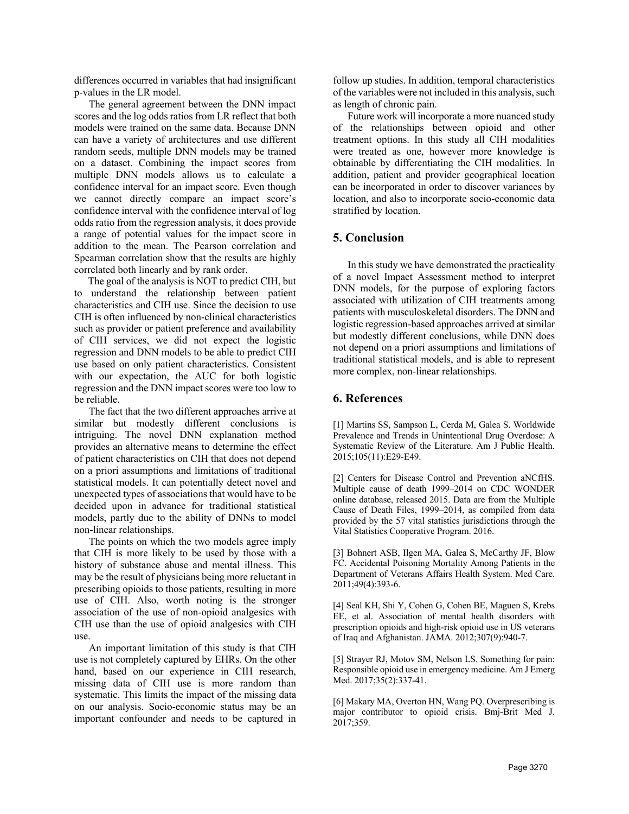differences occurred in variables that had insignificant p-values in the LR model.

The general agreement between the DNN impact scores and the log odds ratios from LR reflect that both models were trained on the same data. Because DNN can have a variety of architectures and use different random seeds, multiple DNN models may be trained on a dataset. Combining the impact scores from multiple DNN models allows us to calculate a confidence interval for an impact score. Even though we cannot directly compare an impact score's confidence interval with the confidence interval of log odds ratio from the regression analysis, it does provide a range of potential values for the impact score in addition to the mean. The Pearson correlation and Spearman correlation show that the results are highly correlated both linearly and by rank order.

The goal of the analysis is NOT to predict CIH, but to understand the relationship between patient characteristics and CIH use. Since the decision to use CIH is often influenced by non-clinical characteristics such as provider or patient preference and availability of CIH services, we did not expect the logistic regression and DNN models to be able to predict CIH use based on only patient characteristics. Consistent with our expectation, the AUC for both logistic regression and the DNN impact scores were too low to be reliable.

The fact that the two different approaches arrive at similar but modestly different conclusions is intriguing. The novel DNN explanation method provides an alternative means to determine the effect of patient characteristics on CIH that does not depend on a priori assumptions and limitations of traditional statistical models. It can potentially detect novel and unexpected types of associations that would have to be decided upon in advance for traditional statistical models, partly due to the ability of DNNs to model non-linear relationships.

The points on which the two models agree imply that CIH is more likely to be used by those with a history of substance abuse and mental illness. This may be the result of physicians being more reluctant in prescribing opioids to those patients, resulting in more use of CIH. Also, worth noting is the stronger association of the use of non-opioid analgesics with CIH use than the use of opioid analgesics with CIH use.

An important limitation of this study is that CIH use is not completely captured by EHRs. On the other hand, based on our experience in CIH research, missing data of CIH use is more random than systematic. This limits the impact of the missing data on our analysis. Socio-economic status may be an important confounder and needs to be captured in follow up studies. In addition, temporal characteristics of the variables were not included in this analysis, such as length of chronic pain.

Future work will incorporate a more nuanced study of the relationships between opioid and other treatment options. In this study all CIH modalities were treated as one, however more knowledge is obtainable by differentiating the CIH modalities. In addition, patient and provider geographical location can be incorporated in order to discover variances by location, and also to incorporate socio-economic data stratified by location.

## **5. Conclusion**

In this study we have demonstrated the practicality of a novel Impact Assessment method to interpret DNN models, for the purpose of exploring factors associated with utilization of CIH treatments among patients with musculoskeletal disorders. The DNN and logistic regression-based approaches arrived at similar but modestly different conclusions, while DNN does not depend on a priori assumptions and limitations of traditional statistical models, and is able to represent more complex, non-linear relationships.

## **6. References**

[1] Martins SS, Sampson L, Cerda M, Galea S. Worldwide Prevalence and Trends in Unintentional Drug Overdose: A Systematic Review of the Literature. Am J Public Health. 2015;105(11):E29-E49.

[2] Centers for Disease Control and Prevention aNCfHS. Multiple cause of death 1999–2014 on CDC WONDER online database, released 2015. Data are from the Multiple Cause of Death Files, 1999–2014, as compiled from data provided by the 57 vital statistics jurisdictions through the Vital Statistics Cooperative Program. 2016.

[3] Bohnert ASB, Ilgen MA, Galea S, McCarthy JF, Blow FC. Accidental Poisoning Mortality Among Patients in the Department of Veterans Affairs Health System. Med Care. 2011;49(4):393-6.

[4] Seal KH, Shi Y, Cohen G, Cohen BE, Maguen S, Krebs EE, et al. Association of mental health disorders with prescription opioids and high-risk opioid use in US veterans of Iraq and Afghanistan. JAMA. 2012;307(9):940-7.

[5] Strayer RJ, Motov SM, Nelson LS. Something for pain: Responsible opioid use in emergency medicine. Am J Emerg Med. 2017;35(2):337-41.

[6] Makary MA, Overton HN, Wang PQ. Overprescribing is major contributor to opioid crisis. Bmj-Brit Med J. 2017;359.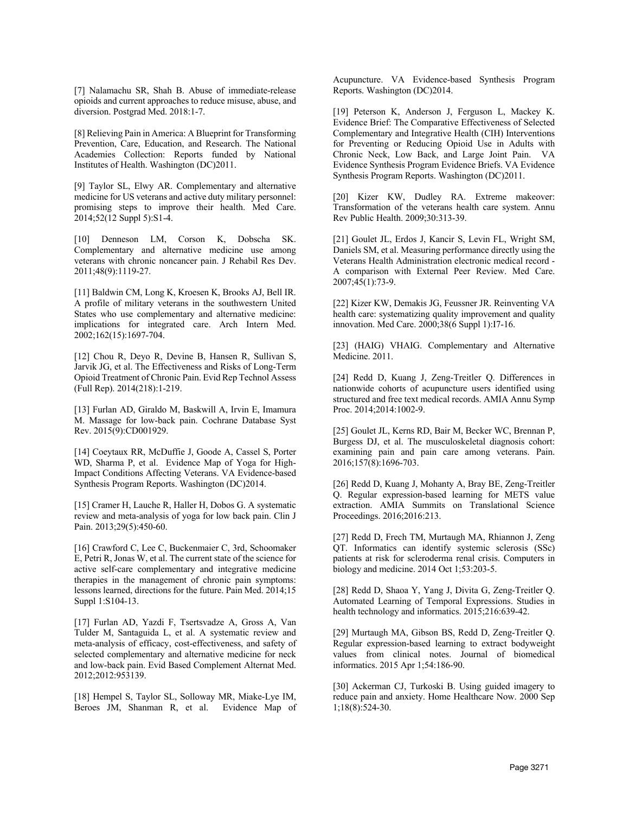[7] Nalamachu SR, Shah B. Abuse of immediate-release opioids and current approaches to reduce misuse, abuse, and diversion. Postgrad Med. 2018:1-7.

[8] Relieving Pain in America: A Blueprint for Transforming Prevention, Care, Education, and Research. The National Academies Collection: Reports funded by National Institutes of Health. Washington (DC)2011.

[9] Taylor SL, Elwy AR. Complementary and alternative medicine for US veterans and active duty military personnel: promising steps to improve their health. Med Care. 2014;52(12 Suppl 5):S1-4.

[10] Denneson LM, Corson K, Dobscha SK. Complementary and alternative medicine use among veterans with chronic noncancer pain. J Rehabil Res Dev. 2011;48(9):1119-27.

[11] Baldwin CM, Long K, Kroesen K, Brooks AJ, Bell IR. A profile of military veterans in the southwestern United States who use complementary and alternative medicine: implications for integrated care. Arch Intern Med. 2002;162(15):1697-704.

[12] Chou R, Deyo R, Devine B, Hansen R, Sullivan S, Jarvik JG, et al. The Effectiveness and Risks of Long-Term Opioid Treatment of Chronic Pain. Evid Rep Technol Assess (Full Rep). 2014(218):1-219.

[13] Furlan AD, Giraldo M, Baskwill A, Irvin E, Imamura M. Massage for low-back pain. Cochrane Database Syst Rev. 2015(9):CD001929.

[14] Coeytaux RR, McDuffie J, Goode A, Cassel S, Porter WD, Sharma P, et al. Evidence Map of Yoga for High-Impact Conditions Affecting Veterans. VA Evidence-based Synthesis Program Reports. Washington (DC)2014.

[15] Cramer H, Lauche R, Haller H, Dobos G. A systematic review and meta-analysis of yoga for low back pain. Clin J Pain. 2013;29(5):450-60.

[16] Crawford C, Lee C, Buckenmaier C, 3rd, Schoomaker E, Petri R, Jonas W, et al. The current state of the science for active self-care complementary and integrative medicine therapies in the management of chronic pain symptoms: lessons learned, directions for the future. Pain Med. 2014;15 Suppl 1:S104-13.

[17] Furlan AD, Yazdi F, Tsertsvadze A, Gross A, Van Tulder M, Santaguida L, et al. A systematic review and meta-analysis of efficacy, cost-effectiveness, and safety of selected complementary and alternative medicine for neck and low-back pain. Evid Based Complement Alternat Med. 2012;2012:953139.

[18] Hempel S, Taylor SL, Solloway MR, Miake-Lye IM, Beroes JM, Shanman R, et al. Evidence Map of Acupuncture. VA Evidence-based Synthesis Program Reports. Washington (DC)2014.

[19] Peterson K, Anderson J, Ferguson L, Mackey K. Evidence Brief: The Comparative Effectiveness of Selected Complementary and Integrative Health (CIH) Interventions for Preventing or Reducing Opioid Use in Adults with Chronic Neck, Low Back, and Large Joint Pain. VA Evidence Synthesis Program Evidence Briefs. VA Evidence Synthesis Program Reports. Washington (DC)2011.

[20] Kizer KW, Dudley RA. Extreme makeover: Transformation of the veterans health care system. Annu Rev Public Health. 2009;30:313-39.

[21] Goulet JL, Erdos J, Kancir S, Levin FL, Wright SM, Daniels SM, et al. Measuring performance directly using the Veterans Health Administration electronic medical record - A comparison with External Peer Review. Med Care. 2007;45(1):73-9.

[22] Kizer KW, Demakis JG, Feussner JR. Reinventing VA health care: systematizing quality improvement and quality innovation. Med Care. 2000;38(6 Suppl 1):I7-16.

[23] (HAIG) VHAIG. Complementary and Alternative Medicine. 2011.

[24] Redd D, Kuang J, Zeng-Treitler Q. Differences in nationwide cohorts of acupuncture users identified using structured and free text medical records. AMIA Annu Symp Proc. 2014;2014:1002-9.

[25] Goulet JL, Kerns RD, Bair M, Becker WC, Brennan P, Burgess DJ, et al. The musculoskeletal diagnosis cohort: examining pain and pain care among veterans. Pain. 2016;157(8):1696-703.

[26] Redd D, Kuang J, Mohanty A, Bray BE, Zeng-Treitler Q. Regular expression-based learning for METS value extraction. AMIA Summits on Translational Science Proceedings. 2016;2016:213.

[27] Redd D, Frech TM, Murtaugh MA, Rhiannon J, Zeng QT. Informatics can identify systemic sclerosis (SSc) patients at risk for scleroderma renal crisis. Computers in biology and medicine. 2014 Oct 1;53:203-5.

[28] Redd D, Shaoa Y, Yang J, Divita G, Zeng-Treitler Q. Automated Learning of Temporal Expressions. Studies in health technology and informatics. 2015;216:639-42.

[29] Murtaugh MA, Gibson BS, Redd D, Zeng-Treitler Q. Regular expression-based learning to extract bodyweight values from clinical notes. Journal of biomedical informatics. 2015 Apr 1;54:186-90.

[30] Ackerman CJ, Turkoski B. Using guided imagery to reduce pain and anxiety. Home Healthcare Now. 2000 Sep 1;18(8):524-30.